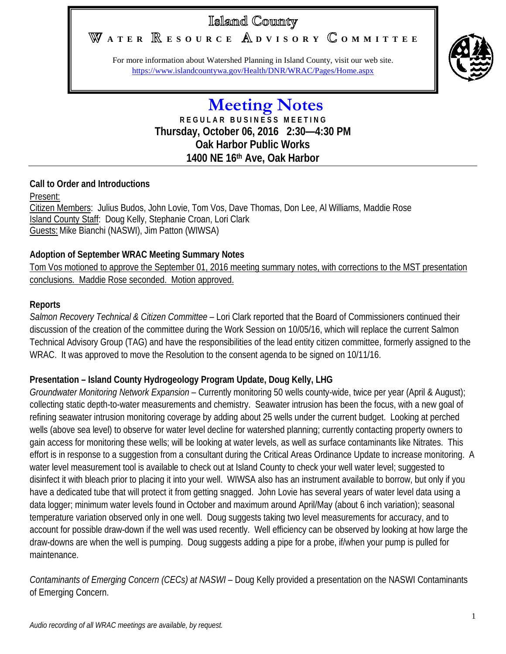# Island County

# **A T E R E S O U R C E D V I S O R Y O M M I T T E E**

For more information about Watershed Planning in Island County, visit our web site. <https://www.islandcountywa.gov/Health/DNR/WRAC/Pages/Home.aspx>



## **Meeting Notes R E G U L A R B U S I N E S S M E E T I N G Thursday, October 06, 2016 2:30—4:30 PM Oak Harbor Public Works 1400 NE 16th Ave, Oak Harbor**

#### **Call to Order and Introductions**

Present:

Citizen Members: Julius Budos, John Lovie, Tom Vos, Dave Thomas, Don Lee, Al Williams, Maddie Rose Island County Staff: Doug Kelly, Stephanie Croan, Lori Clark Guests: Mike Bianchi (NASWI), Jim Patton (WIWSA)

### **Adoption of September WRAC Meeting Summary Notes**

Tom Vos motioned to approve the September 01, 2016 meeting summary notes, with corrections to the MST presentation conclusions. Maddie Rose seconded. Motion approved.

### **Reports**

*Salmon Recovery Technical & Citizen Committee* – Lori Clark reported that the Board of Commissioners continued their discussion of the creation of the committee during the Work Session on 10/05/16, which will replace the current Salmon Technical Advisory Group (TAG) and have the responsibilities of the lead entity citizen committee, formerly assigned to the WRAC. It was approved to move the Resolution to the consent agenda to be signed on 10/11/16.

## **Presentation – Island County Hydrogeology Program Update, Doug Kelly, LHG**

*Groundwater Monitoring Network Expansion* – Currently monitoring 50 wells county-wide, twice per year (April & August); collecting static depth-to-water measurements and chemistry. Seawater intrusion has been the focus, with a new goal of refining seawater intrusion monitoring coverage by adding about 25 wells under the current budget. Looking at perched wells (above sea level) to observe for water level decline for watershed planning; currently contacting property owners to gain access for monitoring these wells; will be looking at water levels, as well as surface contaminants like Nitrates. This effort is in response to a suggestion from a consultant during the Critical Areas Ordinance Update to increase monitoring. A water level measurement tool is available to check out at Island County to check your well water level; suggested to disinfect it with bleach prior to placing it into your well. WIWSA also has an instrument available to borrow, but only if you have a dedicated tube that will protect it from getting snagged. John Lovie has several years of water level data using a data logger; minimum water levels found in October and maximum around April/May (about 6 inch variation); seasonal temperature variation observed only in one well. Doug suggests taking two level measurements for accuracy, and to account for possible draw-down if the well was used recently. Well efficiency can be observed by looking at how large the draw-downs are when the well is pumping. Doug suggests adding a pipe for a probe, if/when your pump is pulled for maintenance.

*Contaminants of Emerging Concern (CECs) at NASWI* – Doug Kelly provided a presentation on the NASWI Contaminants of Emerging Concern.